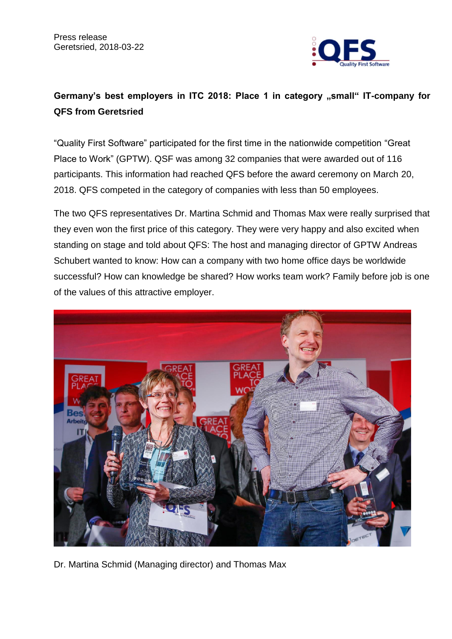

## Germany's best employers in ITC 2018: Place 1 in category "small" IT-company for **QFS from Geretsried**

"Quality First Software" participated for the first time in the nationwide competition ["Great](https://www.greatplacetowork.de/)  [Place to Work"](https://www.greatplacetowork.de/) (GPTW). QSF was among 32 companies that were awarded out of 116 participants. This information had reached QFS before the award ceremony on March 20, 2018. QFS competed in the category of companies with less than 50 employees.

The two QFS representatives Dr. Martina Schmid and Thomas Max were really surprised that they even won the first price of this category. They were very happy and also excited when standing on stage and told about QFS: The host and managing director of GPTW Andreas Schubert wanted to know: How can a company with two home office days be worldwide successful? How can knowledge be shared? How works team work? Family before job is one of the values of this attractive employer.



Dr. Martina Schmid (Managing director) and Thomas Max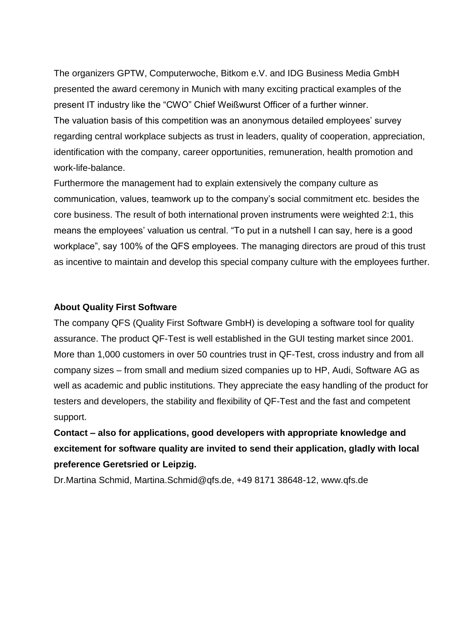The organizers GPTW, Computerwoche, Bitkom e.V. and IDG Business Media GmbH presented the award ceremony in Munich with many exciting practical examples of the present IT industry like the "CWO" Chief Weißwurst Officer of a further winner. The valuation basis of this competition was an anonymous detailed employees' survey regarding central workplace subjects as trust in leaders, quality of cooperation, appreciation, identification with the company, career opportunities, remuneration, health promotion and work-life-balance.

Furthermore the management had to explain extensively the company culture as communication, values, teamwork up to the company's social commitment etc. besides the core business. The result of both international proven instruments were weighted 2:1, this means the employees' valuation us central. "To put in a nutshell I can say, here is a good workplace", say 100% of the QFS employees. The managing directors are proud of this trust as incentive to maintain and develop this special company culture with the employees further.

## **About Quality First Software**

The company QFS (Quality First Software GmbH) is developing a software tool for quality assurance. The product QF-Test is well established in the GUI testing market since 2001. More than 1,000 customers in over 50 countries trust in QF-Test, cross industry and from all company sizes – from small and medium sized companies up to HP, Audi, Software AG as well as academic and public institutions. They appreciate the easy handling of the product for testers and developers, the stability and flexibility of QF-Test and the fast and competent support.

**Contact – also for applications, good developers with appropriate knowledge and excitement for software quality are invited to send their application, gladly with local preference Geretsried or Leipzig.**

Dr.Martina Schmid, Martina.Schmid@qfs.de, +49 8171 38648-12, www.qfs.de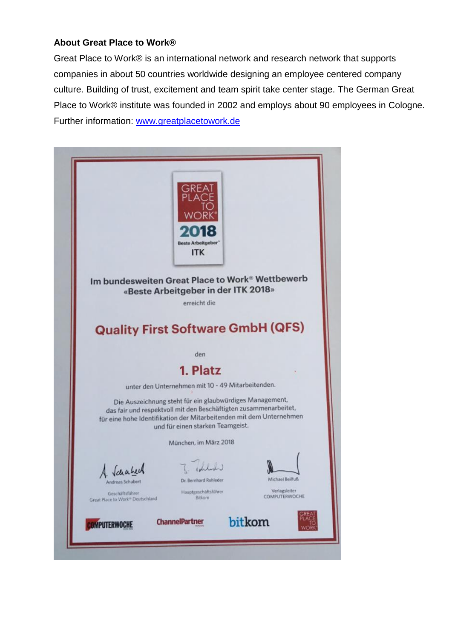## **About Great Place to Work®**

Great Place to Work® is an international network and research network that supports companies in about 50 countries worldwide designing an employee centered company culture. Building of trust, excitement and team spirit take center stage. The German Great Place to Work® institute was founded in 2002 and employs about 90 employees in Cologne. Further information: [www.greatplacetowork.de](file:///C:/Users/claudia/Desktop/www.greatplacetowork.de)